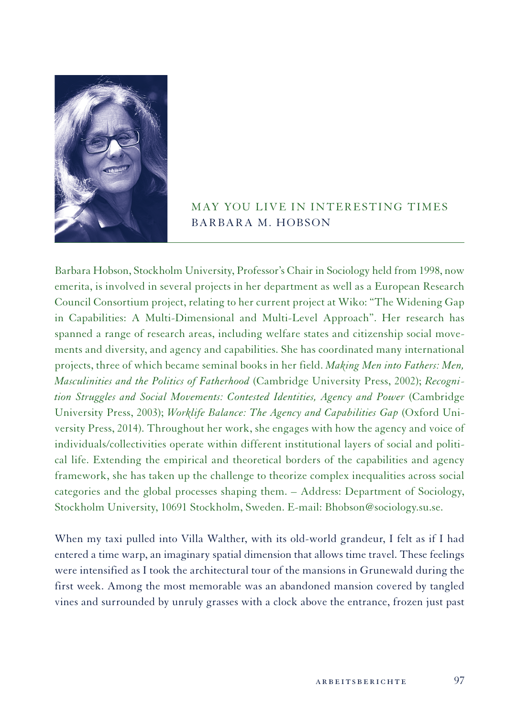

# MAY YOU LIVE IN INTERESTING TIMES BARBARA M. HOBSON

Barbara Hobson, Stockholm University, Professor's Chair in Sociology held from 1998, now emerita, is involved in several projects in her department as well as a European Research Council Consortium project, relating to her current project at Wiko: "The Widening Gap in Capabilities: A Multi-Dimensional and Multi-Level Approach". Her research has spanned a range of research areas, including welfare states and citizenship social movements and diversity, and agency and capabilities. She has coordinated many international projects, three of which became seminal books in her field. *Making Men into Fathers: Men, Masculinities and the Politics of Fatherhood* (Cambridge University Press, 2002); *Recognition Struggles and Social Movements: Contested Identities, Agency and Power* (Cambridge University Press, 2003); *Worklife Balance: The Agency and Capabilities Gap* (Oxford University Press, 2014). Throughout her work, she engages with how the agency and voice of individuals/collectivities operate within different institutional layers of social and political life. Extending the empirical and theoretical borders of the capabilities and agency framework, she has taken up the challenge to theorize complex inequalities across social categories and the global processes shaping them. – Address: Department of Sociology, Stockholm University, 10691 Stockholm, Sweden. E-mail: Bhobson@sociology.su.se.

When my taxi pulled into Villa Walther, with its old-world grandeur, I felt as if I had entered a time warp, an imaginary spatial dimension that allows time travel. These feelings were intensified as I took the architectural tour of the mansions in Grunewald during the first week. Among the most memorable was an abandoned mansion covered by tangled vines and surrounded by unruly grasses with a clock above the entrance, frozen just past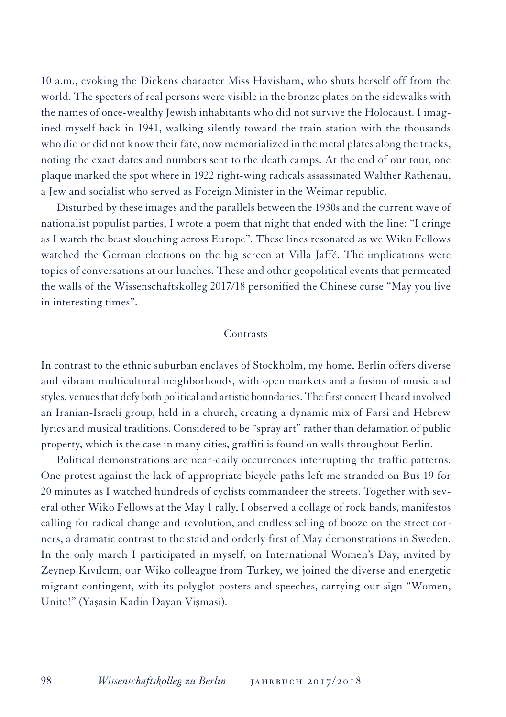10 a.m., evoking the Dickens character Miss Havisham, who shuts herself off from the world. The specters of real persons were visible in the bronze plates on the sidewalks with the names of once-wealthy Jewish inhabitants who did not survive the Holocaust. I imagined myself back in 1941, walking silently toward the train station with the thousands who did or did not know their fate, now memorialized in the metal plates along the tracks, noting the exact dates and numbers sent to the death camps. At the end of our tour, one plaque marked the spot where in 1922 right-wing radicals assassinated Walther Rathenau, a Jew and socialist who served as Foreign Minister in the Weimar republic.

Disturbed by these images and the parallels between the 1930s and the current wave of nationalist populist parties, I wrote a poem that night that ended with the line: "I cringe as I watch the beast slouching across Europe". These lines resonated as we Wiko Fellows watched the German elections on the big screen at Villa Jaffé. The implications were topics of conversations at our lunches. These and other geopolitical events that permeated the walls of the Wissenschaftskolleg 2017/18 personified the Chinese curse "May you live in interesting times".

#### Contrasts

In contrast to the ethnic suburban enclaves of Stockholm, my home, Berlin offers diverse and vibrant multicultural neighborhoods, with open markets and a fusion of music and styles, venues that defy both political and artistic boundaries. The first concert I heard involved an Iranian-Israeli group, held in a church, creating a dynamic mix of Farsi and Hebrew lyrics and musical traditions. Considered to be "spray art" rather than defamation of public property, which is the case in many cities, graffiti is found on walls throughout Berlin.

Political demonstrations are near-daily occurrences interrupting the traffic patterns. One protest against the lack of appropriate bicycle paths left me stranded on Bus 19 for 20 minutes as I watched hundreds of cyclists commandeer the streets. Together with several other Wiko Fellows at the May 1 rally, I observed a collage of rock bands, manifestos calling for radical change and revolution, and endless selling of booze on the street corners, a dramatic contrast to the staid and orderly first of May demonstrations in Sweden. In the only march I participated in myself, on International Women's Day, invited by Zeynep Kıvılcım, our Wiko colleague from Turkey, we joined the diverse and energetic migrant contingent, with its polyglot posters and speeches, carrying our sign "Women, Unite!" (Yaṣasin Kadin Dayan Viṣmasi).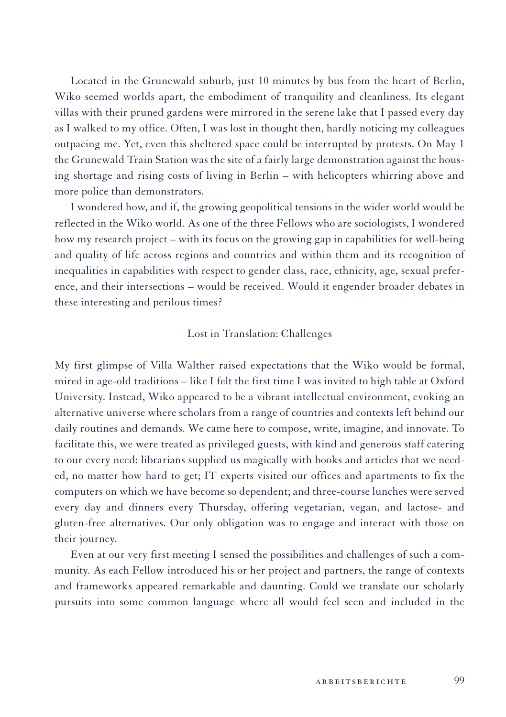Located in the Grunewald suburb, just 10 minutes by bus from the heart of Berlin, Wiko seemed worlds apart, the embodiment of tranquility and cleanliness. Its elegant villas with their pruned gardens were mirrored in the serene lake that I passed every day as I walked to my office. Often, I was lost in thought then, hardly noticing my colleagues outpacing me. Yet, even this sheltered space could be interrupted by protests. On May 1 the Grunewald Train Station was the site of a fairly large demonstration against the housing shortage and rising costs of living in Berlin – with helicopters whirring above and more police than demonstrators.

I wondered how, and if, the growing geopolitical tensions in the wider world would be reflected in the Wiko world. As one of the three Fellows who are sociologists, I wondered how my research project – with its focus on the growing gap in capabilities for well-being and quality of life across regions and countries and within them and its recognition of inequalities in capabilities with respect to gender class, race, ethnicity, age, sexual preference, and their intersections – would be received. Would it engender broader debates in these interesting and perilous times?

# Lost in Translation: Challenges

My first glimpse of Villa Walther raised expectations that the Wiko would be formal, mired in age-old traditions – like I felt the first time I was invited to high table at Oxford University. Instead, Wiko appeared to be a vibrant intellectual environment, evoking an alternative universe where scholars from a range of countries and contexts left behind our daily routines and demands. We came here to compose, write, imagine, and innovate. To facilitate this, we were treated as privileged guests, with kind and generous staff catering to our every need: librarians supplied us magically with books and articles that we needed, no matter how hard to get; IT experts visited our offices and apartments to fix the computers on which we have become so dependent; and three-course lunches were served every day and dinners every Thursday, offering vegetarian, vegan, and lactose- and gluten-free alternatives. Our only obligation was to engage and interact with those on their journey.

Even at our very first meeting I sensed the possibilities and challenges of such a community. As each Fellow introduced his or her project and partners, the range of contexts and frameworks appeared remarkable and daunting. Could we translate our scholarly pursuits into some common language where all would feel seen and included in the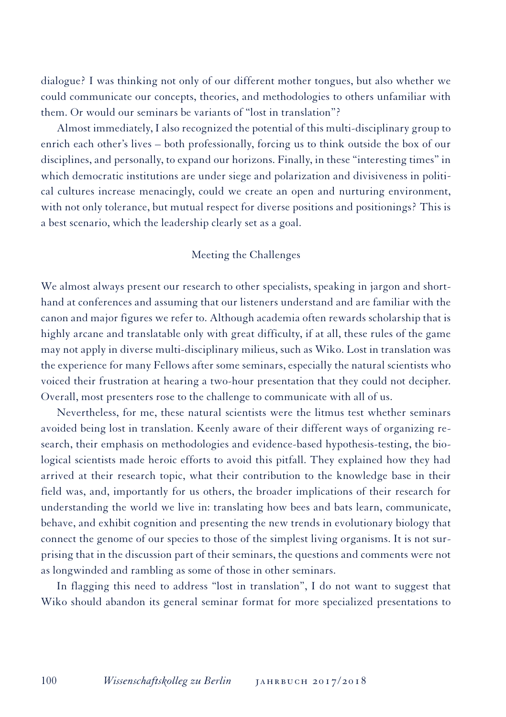dialogue? I was thinking not only of our different mother tongues, but also whether we could communicate our concepts, theories, and methodologies to others unfamiliar with them. Or would our seminars be variants of "lost in translation"?

Almost immediately, I also recognized the potential of this multi-disciplinary group to enrich each other's lives – both professionally, forcing us to think outside the box of our disciplines, and personally, to expand our horizons. Finally, in these "interesting times" in which democratic institutions are under siege and polarization and divisiveness in political cultures increase menacingly, could we create an open and nurturing environment, with not only tolerance, but mutual respect for diverse positions and positionings? This is a best scenario, which the leadership clearly set as a goal.

## Meeting the Challenges

We almost always present our research to other specialists, speaking in jargon and shorthand at conferences and assuming that our listeners understand and are familiar with the canon and major figures we refer to. Although academia often rewards scholarship that is highly arcane and translatable only with great difficulty, if at all, these rules of the game may not apply in diverse multi-disciplinary milieus, such as Wiko. Lost in translation was the experience for many Fellows after some seminars, especially the natural scientists who voiced their frustration at hearing a two-hour presentation that they could not decipher. Overall, most presenters rose to the challenge to communicate with all of us.

Nevertheless, for me, these natural scientists were the litmus test whether seminars avoided being lost in translation. Keenly aware of their different ways of organizing research, their emphasis on methodologies and evidence-based hypothesis-testing, the biological scientists made heroic efforts to avoid this pitfall. They explained how they had arrived at their research topic, what their contribution to the knowledge base in their field was, and, importantly for us others, the broader implications of their research for understanding the world we live in: translating how bees and bats learn, communicate, behave, and exhibit cognition and presenting the new trends in evolutionary biology that connect the genome of our species to those of the simplest living organisms. It is not surprising that in the discussion part of their seminars, the questions and comments were not as longwinded and rambling as some of those in other seminars.

In flagging this need to address "lost in translation", I do not want to suggest that Wiko should abandon its general seminar format for more specialized presentations to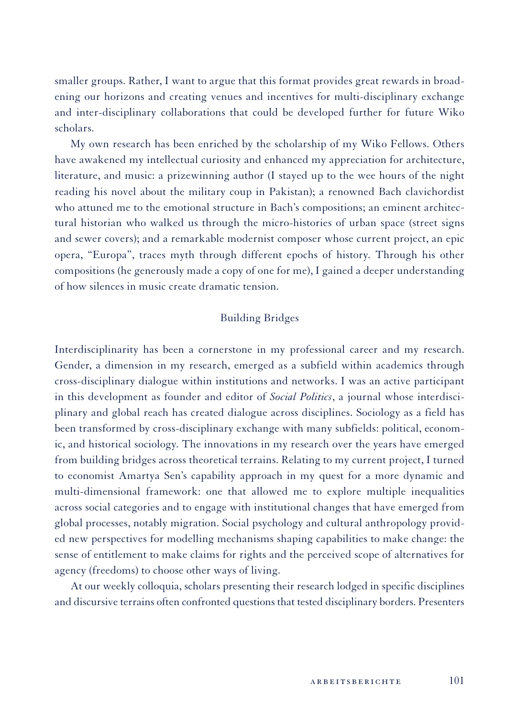smaller groups. Rather, I want to argue that this format provides great rewards in broadening our horizons and creating venues and incentives for multi-disciplinary exchange and inter-disciplinary collaborations that could be developed further for future Wiko scholars.

My own research has been enriched by the scholarship of my Wiko Fellows. Others have awakened my intellectual curiosity and enhanced my appreciation for architecture, literature, and music: a prizewinning author (I stayed up to the wee hours of the night reading his novel about the military coup in Pakistan); a renowned Bach clavichordist who attuned me to the emotional structure in Bach's compositions; an eminent architectural historian who walked us through the micro-histories of urban space (street signs and sewer covers); and a remarkable modernist composer whose current project, an epic opera, "Europa", traces myth through different epochs of history. Through his other compositions (he generously made a copy of one for me), I gained a deeper understanding of how silences in music create dramatic tension.

## Building Bridges

Interdisciplinarity has been a cornerstone in my professional career and my research. Gender, a dimension in my research, emerged as a subfield within academics through cross-disciplinary dialogue within institutions and networks. I was an active participant in this development as founder and editor of *Social Politics*, a journal whose interdisciplinary and global reach has created dialogue across disciplines. Sociology as a field has been transformed by cross-disciplinary exchange with many subfields: political, economic, and historical sociology. The innovations in my research over the years have emerged from building bridges across theoretical terrains. Relating to my current project, I turned to economist Amartya Sen's capability approach in my quest for a more dynamic and multi-dimensional framework: one that allowed me to explore multiple inequalities across social categories and to engage with institutional changes that have emerged from global processes, notably migration. Social psychology and cultural anthropology provided new perspectives for modelling mechanisms shaping capabilities to make change: the sense of entitlement to make claims for rights and the perceived scope of alternatives for agency (freedoms) to choose other ways of living.

At our weekly colloquia, scholars presenting their research lodged in specific disciplines and discursive terrains often confronted questions that tested disciplinary borders. Presenters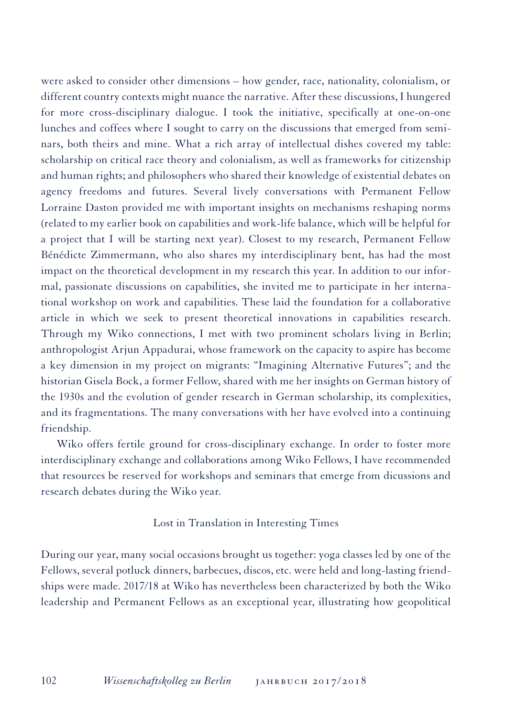were asked to consider other dimensions – how gender, race, nationality, colonialism, or different country contexts might nuance the narrative. After these discussions, I hungered for more cross-disciplinary dialogue. I took the initiative, specifically at one-on-one lunches and coffees where I sought to carry on the discussions that emerged from seminars, both theirs and mine. What a rich array of intellectual dishes covered my table: scholarship on critical race theory and colonialism, as well as frameworks for citizenship and human rights; and philosophers who shared their knowledge of existential debates on agency freedoms and futures. Several lively conversations with Permanent Fellow Lorraine Daston provided me with important insights on mechanisms reshaping norms (related to my earlier book on capabilities and work-life balance, which will be helpful for a project that I will be starting next year). Closest to my research, Permanent Fellow Bénédicte Zimmermann, who also shares my interdisciplinary bent, has had the most impact on the theoretical development in my research this year. In addition to our informal, passionate discussions on capabilities, she invited me to participate in her international workshop on work and capabilities. These laid the foundation for a collaborative article in which we seek to present theoretical innovations in capabilities research. Through my Wiko connections, I met with two prominent scholars living in Berlin; anthropologist Arjun Appadurai, whose framework on the capacity to aspire has become a key dimension in my project on migrants: "Imagining Alternative Futures"; and the historian Gisela Bock, a former Fellow, shared with me her insights on German history of the 1930s and the evolution of gender research in German scholarship, its complexities, and its fragmentations. The many conversations with her have evolved into a continuing friendship.

Wiko offers fertile ground for cross-disciplinary exchange. In order to foster more interdisciplinary exchange and collaborations among Wiko Fellows, I have recommended that resources be reserved for workshops and seminars that emerge from dicussions and research debates during the Wiko year.

# Lost in Translation in Interesting Times

During our year, many social occasions brought us together: yoga classes led by one of the Fellows, several potluck dinners, barbecues, discos, etc. were held and long-lasting friendships were made. 2017/18 at Wiko has nevertheless been characterized by both the Wiko leadership and Permanent Fellows as an exceptional year, illustrating how geopolitical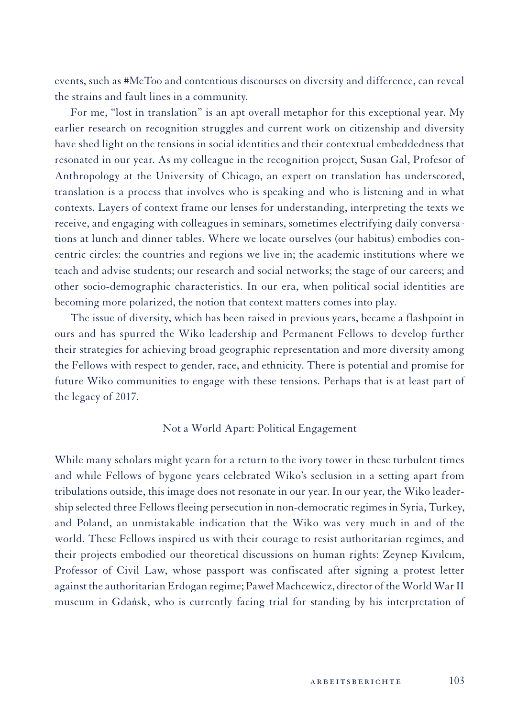events, such as #MeToo and contentious discourses on diversity and difference, can reveal the strains and fault lines in a community.

For me, "lost in translation" is an apt overall metaphor for this exceptional year. My earlier research on recognition struggles and current work on citizenship and diversity have shed light on the tensions in social identities and their contextual embeddedness that resonated in our year. As my colleague in the recognition project, Susan Gal, Profesor of Anthropology at the University of Chicago, an expert on translation has underscored, translation is a process that involves who is speaking and who is listening and in what contexts. Layers of context frame our lenses for understanding, interpreting the texts we receive, and engaging with colleagues in seminars, sometimes electrifying daily conversations at lunch and dinner tables. Where we locate ourselves (our habitus) embodies concentric circles: the countries and regions we live in; the academic institutions where we teach and advise students; our research and social networks; the stage of our careers; and other socio-demographic characteristics. In our era, when political social identities are becoming more polarized, the notion that context matters comes into play.

The issue of diversity, which has been raised in previous years, became a flashpoint in ours and has spurred the Wiko leadership and Permanent Fellows to develop further their strategies for achieving broad geographic representation and more diversity among the Fellows with respect to gender, race, and ethnicity. There is potential and promise for future Wiko communities to engage with these tensions. Perhaps that is at least part of the legacy of 2017.

#### Not a World Apart: Political Engagement

While many scholars might yearn for a return to the ivory tower in these turbulent times and while Fellows of bygone years celebrated Wiko's seclusion in a setting apart from tribulations outside, this image does not resonate in our year. In our year, the Wiko leadership selected three Fellows fleeing persecution in non-democratic regimes in Syria, Turkey, and Poland, an unmistakable indication that the Wiko was very much in and of the world. These Fellows inspired us with their courage to resist authoritarian regimes, and their projects embodied our theoretical discussions on human rights: Zeynep Kıvılcım, Professor of Civil Law, whose passport was confiscated after signing a protest letter against the authoritarian Erdogan regime; Paweł Machcewicz, director of the World WarII museum in Gdańsk, who is currently facing trial for standing by his interpretation of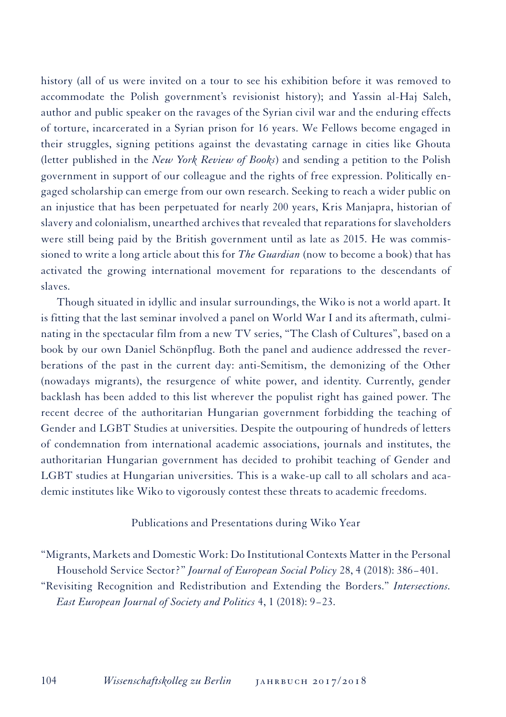history (all of us were invited on a tour to see his exhibition before it was removed to accommodate the Polish government's revisionist history); and Yassin al-Haj Saleh, author and public speaker on the ravages of the Syrian civil war and the enduring effects of torture, incarcerated in a Syrian prison for 16 years. We Fellows become engaged in their struggles, signing petitions against the devastating carnage in cities like Ghouta (letter published in the *New York Review of Books*) and sending a petition to the Polish government in support of our colleague and the rights of free expression. Politically engaged scholarship can emerge from our own research. Seeking to reach a wider public on an injustice that has been perpetuated for nearly 200 years, Kris Manjapra, historian of slavery and colonialism, unearthed archives that revealed that reparations for slaveholders were still being paid by the British government until as late as 2015. He was commissioned to write a long article about this for *The Guardian* (now to become a book) that has activated the growing international movement for reparations to the descendants of slaves.

Though situated in idyllic and insular surroundings, the Wiko is not a world apart. It is fitting that the last seminar involved a panel on World War I and its aftermath, culminating in the spectacular film from a new TV series, "The Clash of Cultures", based on a book by our own Daniel Schönpflug. Both the panel and audience addressed the reverberations of the past in the current day: anti-Semitism, the demonizing of the Other (nowadays migrants), the resurgence of white power, and identity. Currently, gender backlash has been added to this list wherever the populist right has gained power. The recent decree of the authoritarian Hungarian government forbidding the teaching of Gender and LGBT Studies at universities. Despite the outpouring of hundreds of letters of condemnation from international academic associations, journals and institutes, the authoritarian Hungarian government has decided to prohibit teaching of Gender and LGBT studies at Hungarian universities. This is a wake-up call to all scholars and academic institutes like Wiko to vigorously contest these threats to academic freedoms.

# Publications and Presentations during Wiko Year

"Migrants, Markets and Domestic Work: Do Institutional Contexts Matter in the Personal Household Service Sector?" *Journal of European Social Policy* 28, 4 (2018): 386−401. "Revisiting Recognition and Redistribution and Extending the Borders." *Intersections.* 

*East European Journal of Society and Politics* 4, 1 (2018): 9−23.